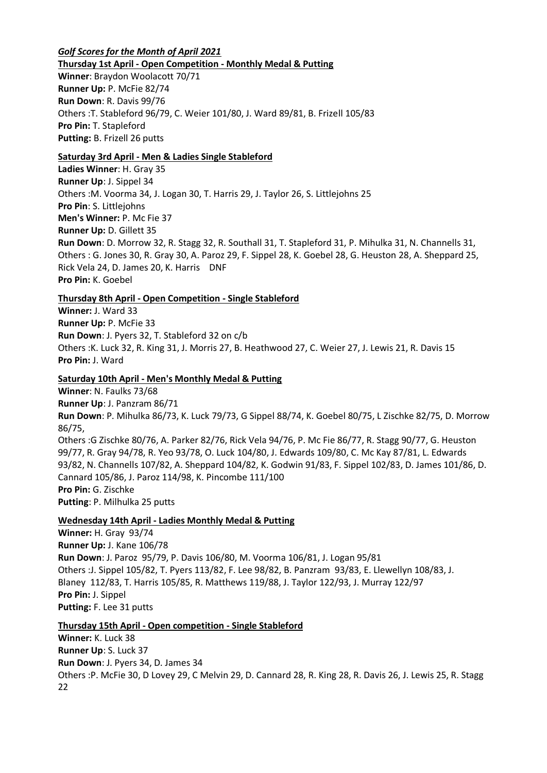#### *Golf Scores for the Month of April 2021* **Thursday 1st April - Open Competition - Monthly Medal & Putting**

**Winner**: Braydon Woolacott 70/71 **Runner Up:** P. McFie 82/74 **Run Down**: R. Davis 99/76 Others :T. Stableford 96/79, C. Weier 101/80, J. Ward 89/81, B. Frizell 105/83 **Pro Pin:** T. Stapleford **Putting:** B. Frizell 26 putts

# **Saturday 3rd April - Men & Ladies Single Stableford**

**Ladies Winner**: H. Gray 35 **Runner Up**: J. Sippel 34 Others :M. Voorma 34, J. Logan 30, T. Harris 29, J. Taylor 26, S. Littlejohns 25 **Pro Pin**: S. Littlejohns **Men's Winner:** P. Mc Fie 37 **Runner Up:** D. Gillett 35 **Run Down**: D. Morrow 32, R. Stagg 32, R. Southall 31, T. Stapleford 31, P. Mihulka 31, N. Channells 31, Others : G. Jones 30, R. Gray 30, A. Paroz 29, F. Sippel 28, K. Goebel 28, G. Heuston 28, A. Sheppard 25, Rick Vela 24, D. James 20, K. Harris DNF **Pro Pin:** K. Goebel

# **Thursday 8th April - Open Competition - Single Stableford**

**Winner:** J. Ward 33 **Runner Up:** P. McFie 33 **Run Down**: J. Pyers 32, T. Stableford 32 on c/b Others :K. Luck 32, R. King 31, J. Morris 27, B. Heathwood 27, C. Weier 27, J. Lewis 21, R. Davis 15 **Pro Pin:** J. Ward

### **Saturday 10th April - Men's Monthly Medal & Putting**

**Winner**: N. Faulks 73/68 **Runner Up**: J. Panzram 86/71 **Run Down**: P. Mihulka 86/73, K. Luck 79/73, G Sippel 88/74, K. Goebel 80/75, L Zischke 82/75, D. Morrow 86/75, Others :G Zischke 80/76, A. Parker 82/76, Rick Vela 94/76, P. Mc Fie 86/77, R. Stagg 90/77, G. Heuston 99/77, R. Gray 94/78, R. Yeo 93/78, O. Luck 104/80, J. Edwards 109/80, C. Mc Kay 87/81, L. Edwards 93/82, N. Channells 107/82, A. Sheppard 104/82, K. Godwin 91/83, F. Sippel 102/83, D. James 101/86, D. Cannard 105/86, J. Paroz 114/98, K. Pincombe 111/100 **Pro Pin:** G. Zischke **Putting**: P. Milhulka 25 putts

### **Wednesday 14th April - Ladies Monthly Medal & Putting**

**Winner:** H. Gray 93/74 **Runner Up:** J. Kane 106/78 **Run Down**: J. Paroz 95/79, P. Davis 106/80, M. Voorma 106/81, J. Logan 95/81 Others :J. Sippel 105/82, T. Pyers 113/82, F. Lee 98/82, B. Panzram 93/83, E. Llewellyn 108/83, J. Blaney 112/83, T. Harris 105/85, R. Matthews 119/88, J. Taylor 122/93, J. Murray 122/97 **Pro Pin:** J. Sippel **Putting:** F. Lee 31 putts

### **Thursday 15th April - Open competition - Single Stableford**

**Winner:** K. Luck 38 **Runner Up**: S. Luck 37 **Run Down**: J. Pyers 34, D. James 34 Others :P. McFie 30, D Lovey 29, C Melvin 29, D. Cannard 28, R. King 28, R. Davis 26, J. Lewis 25, R. Stagg 22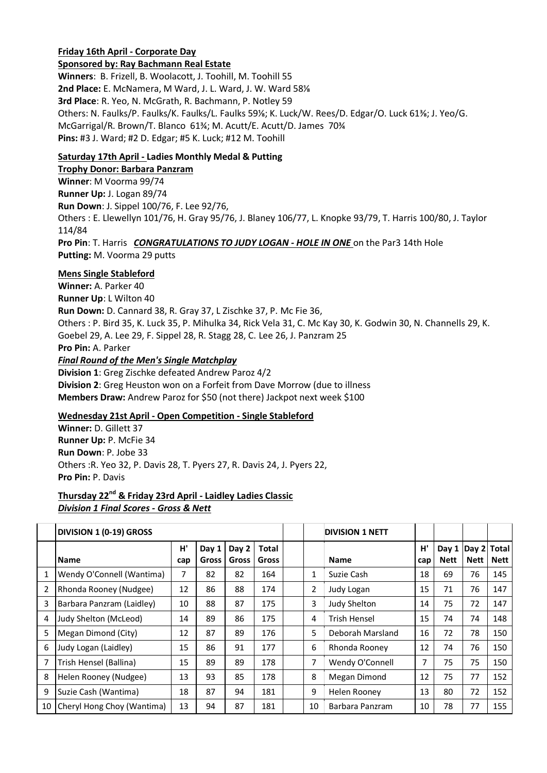### **Friday 16th April - Corporate Day**

#### **Sponsored by: Ray Bachmann Real Estate**

**Winners**: B. Frizell, B. Woolacott, J. Toohill, M. Toohill 55 **2nd Place:** E. McNamera, M Ward, J. L. Ward, J. W. Ward 58⅛ **3rd Place**: R. Yeo, N. McGrath, R. Bachmann, P. Notley 59 Others: N. Faulks/P. Faulks/K. Faulks/L. Faulks 59⅛; K. Luck/W. Rees/D. Edgar/O. Luck 61⅜; J. Yeo/G. McGarrigal/R. Brown/T. Blanco 61¾; M. Acutt/E. Acutt/D. James 70¾ **Pins:** #3 J. Ward; #2 D. Edgar; #5 K. Luck; #12 M. Toohill

# **Saturday 17th April - Ladies Monthly Medal & Putting**

# **Trophy Donor: Barbara Panzram**

**Winner**: M Voorma 99/74 **Runner Up:** J. Logan 89/74 **Run Down**: J. Sippel 100/76, F. Lee 92/76, Others : E. Llewellyn 101/76, H. Gray 95/76, J. Blaney 106/77, L. Knopke 93/79, T. Harris 100/80, J. Taylor 114/84 **Pro Pin**: T. Harris *CONGRATULATIONS TO JUDY LOGAN - HOLE IN ONE* on the Par3 14th Hole **Putting:** M. Voorma 29 putts

### **Mens Single Stableford**

**Winner:** A. Parker 40 **Runner Up**: L Wilton 40 **Run Down:** D. Cannard 38, R. Gray 37, L Zischke 37, P. Mc Fie 36, Others : P. Bird 35, K. Luck 35, P. Mihulka 34, Rick Vela 31, C. Mc Kay 30, K. Godwin 30, N. Channells 29, K. Goebel 29, A. Lee 29, F. Sippel 28, R. Stagg 28, C. Lee 26, J. Panzram 25 **Pro Pin:** A. Parker *Final Round of the Men's Single Matchplay* **Division 1**: Greg Zischke defeated Andrew Paroz 4/2

**Division 2**: Greg Heuston won on a Forfeit from Dave Morrow (due to illness **Members Draw:** Andrew Paroz for \$50 (not there) Jackpot next week \$100

### **Wednesday 21st April - Open Competition - Single Stableford**

**Winner:** D. Gillett 37 **Runner Up:** P. McFie 34 **Run Down**: P. Jobe 33 Others :R. Yeo 32, P. Davis 28, T. Pyers 27, R. Davis 24, J. Pyers 22, **Pro Pin:** P. Davis

### **Thursday 22nd & Friday 23rd April - Laidley Ladies Classic**  *Division 1 Final Scores - Gross & Nett*

|    | DIVISION 1 (0-19) GROSS    |           |                |                |                       |  |    | <b>DIVISION 1 NETT</b> |                |                                        |             |      |
|----|----------------------------|-----------|----------------|----------------|-----------------------|--|----|------------------------|----------------|----------------------------------------|-------------|------|
|    | <b>Name</b>                | H'<br>cap | Day 1<br>Gross | Day 2<br>Gross | <b>Total</b><br>Gross |  |    | <b>Name</b>            | H'<br>cap      | Day 1   Day 2   Total  <br><b>Nett</b> | <b>Nett</b> | Nett |
|    | Wendy O'Connell (Wantima)  | 7         | 82             | 82             | 164                   |  | 1  | Suzie Cash             | 18             | 69                                     | 76          | 145  |
| 2  | Rhonda Rooney (Nudgee)     | 12        | 86             | 88             | 174                   |  | 2  | Judy Logan             | 15             | 71                                     | 76          | 147  |
| 3  | Barbara Panzram (Laidley)  | 10        | 88             | 87             | 175                   |  | 3  | Judy Shelton           | 14             | 75                                     | 72          | 147  |
| 4  | Judy Shelton (McLeod)      | 14        | 89             | 86             | 175                   |  | 4  | <b>Trish Hensel</b>    | 15             | 74                                     | 74          | 148  |
| 5  | Megan Dimond (City)        | 12        | 87             | 89             | 176                   |  | 5  | Deborah Marsland       | 16             | 72                                     | 78          | 150  |
| 6  | Judy Logan (Laidley)       | 15        | 86             | 91             | 177                   |  | 6  | Rhonda Rooney          | 12             | 74                                     | 76          | 150  |
| 7  | Trish Hensel (Ballina)     | 15        | 89             | 89             | 178                   |  | 7  | Wendy O'Connell        | $\overline{7}$ | 75                                     | 75          | 150  |
| 8  | Helen Rooney (Nudgee)      | 13        | 93             | 85             | 178                   |  | 8  | Megan Dimond           | 12             | 75                                     | 77          | 152  |
| 9  | Suzie Cash (Wantima)       | 18        | 87             | 94             | 181                   |  | 9  | Helen Rooney           | 13             | 80                                     | 72          | 152  |
| 10 | Cheryl Hong Choy (Wantima) | 13        | 94             | 87             | 181                   |  | 10 | Barbara Panzram        | 10             | 78                                     | 77          | 155  |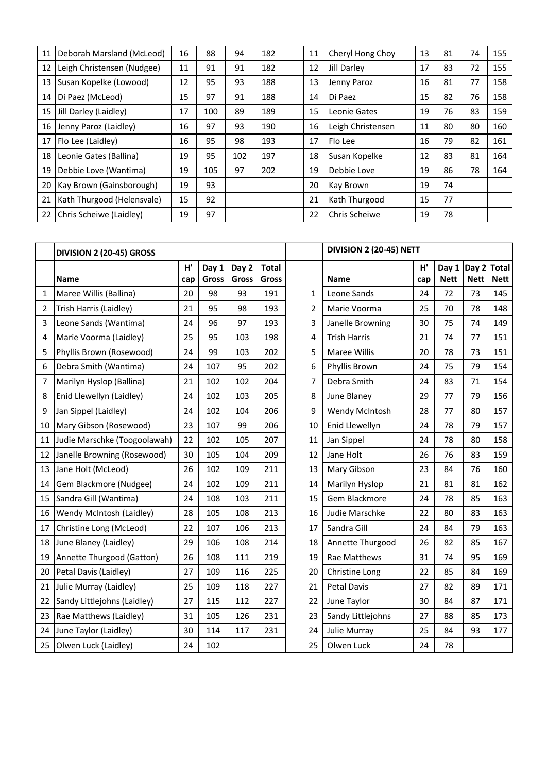| 11 | Deborah Marsland (McLeod)  | 16 | 88  | 94  | 182 | 11 | Cheryl Hong Choy  | 13 | 81 | 74 | 155 |
|----|----------------------------|----|-----|-----|-----|----|-------------------|----|----|----|-----|
| 12 | Leigh Christensen (Nudgee) | 11 | 91  | 91  | 182 | 12 | Jill Darley       | 17 | 83 | 72 | 155 |
| 13 | Susan Kopelke (Lowood)     | 12 | 95  | 93  | 188 | 13 | Jenny Paroz       | 16 | 81 | 77 | 158 |
|    | 14   Di Paez (McLeod)      | 15 | 97  | 91  | 188 | 14 | Di Paez           | 15 | 82 | 76 | 158 |
|    | 15 Jill Darley (Laidley)   | 17 | 100 | 89  | 189 | 15 | Leonie Gates      | 19 | 76 | 83 | 159 |
|    | 16 Jenny Paroz (Laidley)   | 16 | 97  | 93  | 190 | 16 | Leigh Christensen | 11 | 80 | 80 | 160 |
| 17 | Flo Lee (Laidley)          | 16 | 95  | 98  | 193 | 17 | Flo Lee           | 16 | 79 | 82 | 161 |
|    | 18 Leonie Gates (Ballina)  | 19 | 95  | 102 | 197 | 18 | Susan Kopelke     | 12 | 83 | 81 | 164 |
| 19 | Debbie Love (Wantima)      | 19 | 105 | 97  | 202 | 19 | Debbie Love       | 19 | 86 | 78 | 164 |
| 20 | Kay Brown (Gainsborough)   | 19 | 93  |     |     | 20 | Kay Brown         | 19 | 74 |    |     |
| 21 | Kath Thurgood (Helensvale) | 15 | 92  |     |     | 21 | Kath Thurgood     | 15 | 77 |    |     |
| 22 | Chris Scheiwe (Laidley)    | 19 | 97  |     |     | 22 | Chris Scheiwe     | 19 | 78 |    |     |

|    | DIVISION 2 (20-45) GROSS     |     |       |       |              |                | DIVISION 2 (20-45) NETT |     |             |             |              |  |  |
|----|------------------------------|-----|-------|-------|--------------|----------------|-------------------------|-----|-------------|-------------|--------------|--|--|
|    |                              | H'  | Day 1 | Day 2 | <b>Total</b> |                |                         | H'  | Day 1       | Day 2       | <b>Total</b> |  |  |
|    | <b>Name</b>                  | cap | Gross | Gross | Gross        |                | <b>Name</b>             | cap | <b>Nett</b> | <b>Nett</b> | <b>Nett</b>  |  |  |
| 1  | Maree Willis (Ballina)       | 20  | 98    | 93    | 191          | $\mathbf{1}$   | Leone Sands             | 24  | 72          | 73          | 145          |  |  |
| 2  | Trish Harris (Laidley)       | 21  | 95    | 98    | 193          | $\overline{2}$ | Marie Voorma            | 25  | 70          | 78          | 148          |  |  |
| 3  | Leone Sands (Wantima)        | 24  | 96    | 97    | 193          | 3              | Janelle Browning        | 30  | 75          | 74          | 149          |  |  |
| 4  | Marie Voorma (Laidley)       | 25  | 95    | 103   | 198          | 4              | <b>Trish Harris</b>     | 21  | 74          | 77          | 151          |  |  |
| 5  | Phyllis Brown (Rosewood)     | 24  | 99    | 103   | 202          | 5              | Maree Willis            | 20  | 78          | 73          | 151          |  |  |
| 6  | Debra Smith (Wantima)        | 24  | 107   | 95    | 202          | 6              | Phyllis Brown           | 24  | 75          | 79          | 154          |  |  |
| 7  | Marilyn Hyslop (Ballina)     | 21  | 102   | 102   | 204          | 7              | Debra Smith             | 24  | 83          | 71          | 154          |  |  |
| 8  | Enid Llewellyn (Laidley)     | 24  | 102   | 103   | 205          | 8              | June Blaney             | 29  | 77          | 79          | 156          |  |  |
| 9  | Jan Sippel (Laidley)         | 24  | 102   | 104   | 206          | 9              | Wendy McIntosh          | 28  | 77          | 80          | 157          |  |  |
| 10 | Mary Gibson (Rosewood)       | 23  | 107   | 99    | 206          | 10             | Enid Llewellyn          | 24  | 78          | 79          | 157          |  |  |
| 11 | Judie Marschke (Toogoolawah) | 22  | 102   | 105   | 207          | 11             | Jan Sippel              | 24  | 78          | 80          | 158          |  |  |
| 12 | Janelle Browning (Rosewood)  | 30  | 105   | 104   | 209          | 12             | Jane Holt               | 26  | 76          | 83          | 159          |  |  |
| 13 | Jane Holt (McLeod)           | 26  | 102   | 109   | 211          | 13             | Mary Gibson             | 23  | 84          | 76          | 160          |  |  |
| 14 | Gem Blackmore (Nudgee)       | 24  | 102   | 109   | 211          | 14             | Marilyn Hyslop          | 21  | 81          | 81          | 162          |  |  |
| 15 | Sandra Gill (Wantima)        | 24  | 108   | 103   | 211          | 15             | Gem Blackmore           | 24  | 78          | 85          | 163          |  |  |
| 16 | Wendy McIntosh (Laidley)     | 28  | 105   | 108   | 213          | 16             | Judie Marschke          | 22  | 80          | 83          | 163          |  |  |
| 17 | Christine Long (McLeod)      | 22  | 107   | 106   | 213          | 17             | Sandra Gill             | 24  | 84          | 79          | 163          |  |  |
| 18 | June Blaney (Laidley)        | 29  | 106   | 108   | 214          | 18             | Annette Thurgood        | 26  | 82          | 85          | 167          |  |  |
| 19 | Annette Thurgood (Gatton)    | 26  | 108   | 111   | 219          | 19             | Rae Matthews            | 31  | 74          | 95          | 169          |  |  |
| 20 | Petal Davis (Laidley)        | 27  | 109   | 116   | 225          | 20             | Christine Long          | 22  | 85          | 84          | 169          |  |  |
| 21 | Julie Murray (Laidley)       | 25  | 109   | 118   | 227          | 21             | <b>Petal Davis</b>      | 27  | 82          | 89          | 171          |  |  |
| 22 | Sandy Littlejohns (Laidley)  | 27  | 115   | 112   | 227          | 22             | June Taylor             | 30  | 84          | 87          | 171          |  |  |
| 23 | Rae Matthews (Laidley)       | 31  | 105   | 126   | 231          | 23             | Sandy Littlejohns       | 27  | 88          | 85          | 173          |  |  |
| 24 | June Taylor (Laidley)        | 30  | 114   | 117   | 231          | 24             | Julie Murray            | 25  | 84          | 93          | 177          |  |  |
| 25 | Olwen Luck (Laidley)         | 24  | 102   |       |              | 25             | Olwen Luck              | 24  | 78          |             |              |  |  |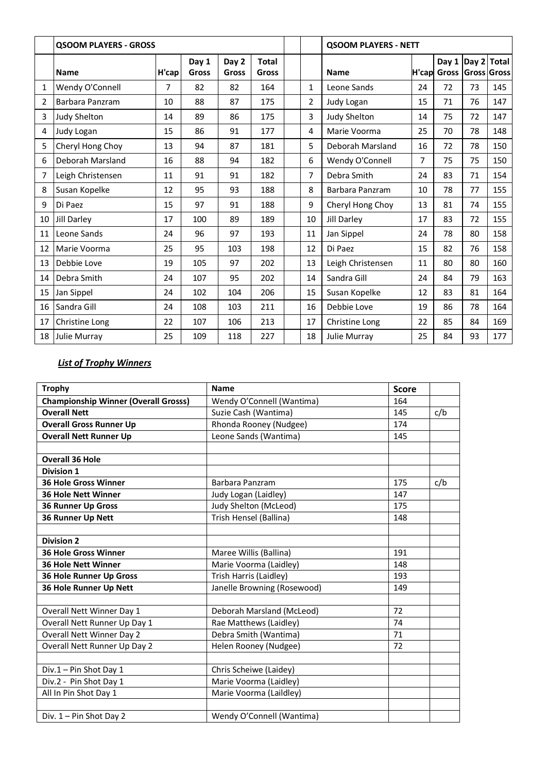|    | <b>QSOOM PLAYERS - GROSS</b> |       |                |                |                       |  |    | <b>QSOOM PLAYERS - NETT</b> |       |                |       |                             |
|----|------------------------------|-------|----------------|----------------|-----------------------|--|----|-----------------------------|-------|----------------|-------|-----------------------------|
|    | <b>Name</b>                  | H'cap | Day 1<br>Gross | Day 2<br>Gross | <b>Total</b><br>Gross |  |    | <b>Name</b>                 | H'cap | Day 1<br>Gross | Day 2 | <b>Total</b><br>Gross Gross |
| 1  | Wendy O'Connell              | 7     | 82             | 82             | 164                   |  | 1  | Leone Sands                 | 24    | 72             | 73    | 145                         |
| 2  | Barbara Panzram              | 10    | 88             | 87             | 175                   |  | 2  | Judy Logan                  | 15    | 71             | 76    | 147                         |
| 3  | Judy Shelton                 | 14    | 89             | 86             | 175                   |  | 3  | Judy Shelton                | 14    | 75             | 72    | 147                         |
| 4  | Judy Logan                   | 15    | 86             | 91             | 177                   |  | 4  | Marie Voorma                | 25    | 70             | 78    | 148                         |
| 5  | Cheryl Hong Choy             | 13    | 94             | 87             | 181                   |  | 5  | Deborah Marsland            | 16    | 72             | 78    | 150                         |
| 6  | Deborah Marsland             | 16    | 88             | 94             | 182                   |  | 6  | Wendy O'Connell             | 7     | 75             | 75    | 150                         |
| 7  | Leigh Christensen            | 11    | 91             | 91             | 182                   |  | 7  | Debra Smith                 | 24    | 83             | 71    | 154                         |
| 8  | Susan Kopelke                | 12    | 95             | 93             | 188                   |  | 8  | Barbara Panzram             | 10    | 78             | 77    | 155                         |
| 9  | Di Paez                      | 15    | 97             | 91             | 188                   |  | 9  | Cheryl Hong Choy            | 13    | 81             | 74    | 155                         |
| 10 | Jill Darley                  | 17    | 100            | 89             | 189                   |  | 10 | Jill Darley                 | 17    | 83             | 72    | 155                         |
| 11 | Leone Sands                  | 24    | 96             | 97             | 193                   |  | 11 | Jan Sippel                  | 24    | 78             | 80    | 158                         |
| 12 | Marie Voorma                 | 25    | 95             | 103            | 198                   |  | 12 | Di Paez                     | 15    | 82             | 76    | 158                         |
| 13 | Debbie Love                  | 19    | 105            | 97             | 202                   |  | 13 | Leigh Christensen           | 11    | 80             | 80    | 160                         |
| 14 | Debra Smith                  | 24    | 107            | 95             | 202                   |  | 14 | Sandra Gill                 | 24    | 84             | 79    | 163                         |
| 15 | Jan Sippel                   | 24    | 102            | 104            | 206                   |  | 15 | Susan Kopelke               | 12    | 83             | 81    | 164                         |
| 16 | Sandra Gill                  | 24    | 108            | 103            | 211                   |  | 16 | Debbie Love                 | 19    | 86             | 78    | 164                         |
| 17 | Christine Long               | 22    | 107            | 106            | 213                   |  | 17 | Christine Long              | 22    | 85             | 84    | 169                         |
|    | 18 Julie Murray              | 25    | 109            | 118            | 227                   |  | 18 | Julie Murray                | 25    | 84             | 93    | 177                         |

# *List of Trophy Winners*

| <b>Trophy</b>                               | Name                        | <b>Score</b> |     |
|---------------------------------------------|-----------------------------|--------------|-----|
| <b>Championship Winner (Overall Grosss)</b> | Wendy O'Connell (Wantima)   | 164          |     |
| <b>Overall Nett</b>                         | Suzie Cash (Wantima)        | 145          | c/b |
| <b>Overall Gross Runner Up</b>              | Rhonda Rooney (Nudgee)      | 174          |     |
| <b>Overall Nett Runner Up</b>               | Leone Sands (Wantima)       | 145          |     |
|                                             |                             |              |     |
| <b>Overall 36 Hole</b>                      |                             |              |     |
| <b>Division 1</b>                           |                             |              |     |
| <b>36 Hole Gross Winner</b>                 | Barbara Panzram             | 175          | c/b |
| <b>36 Hole Nett Winner</b>                  | Judy Logan (Laidley)        | 147          |     |
| <b>36 Runner Up Gross</b>                   | Judy Shelton (McLeod)       | 175          |     |
| 36 Runner Up Nett                           | Trish Hensel (Ballina)      | 148          |     |
|                                             |                             |              |     |
| <b>Division 2</b>                           |                             |              |     |
| 36 Hole Gross Winner                        | Maree Willis (Ballina)      | 191          |     |
| <b>36 Hole Nett Winner</b>                  | Marie Voorma (Laidley)      | 148          |     |
| <b>36 Hole Runner Up Gross</b>              | Trish Harris (Laidley)      | 193          |     |
| 36 Hole Runner Up Nett                      | Janelle Browning (Rosewood) | 149          |     |
|                                             |                             |              |     |
| Overall Nett Winner Day 1                   | Deborah Marsland (McLeod)   | 72           |     |
| Overall Nett Runner Up Day 1                | Rae Matthews (Laidley)      | 74           |     |
| Overall Nett Winner Day 2                   | Debra Smith (Wantima)       | 71           |     |
| Overall Nett Runner Up Day 2                | Helen Rooney (Nudgee)       | 72           |     |
|                                             |                             |              |     |
| Div.1 - Pin Shot Day 1                      | Chris Scheiwe (Laidey)      |              |     |
| Div.2 - Pin Shot Day 1                      | Marie Voorma (Laidley)      |              |     |
| All In Pin Shot Day 1                       | Marie Voorma (Laildley)     |              |     |
|                                             |                             |              |     |
| Div. 1 - Pin Shot Day 2                     | Wendy O'Connell (Wantima)   |              |     |